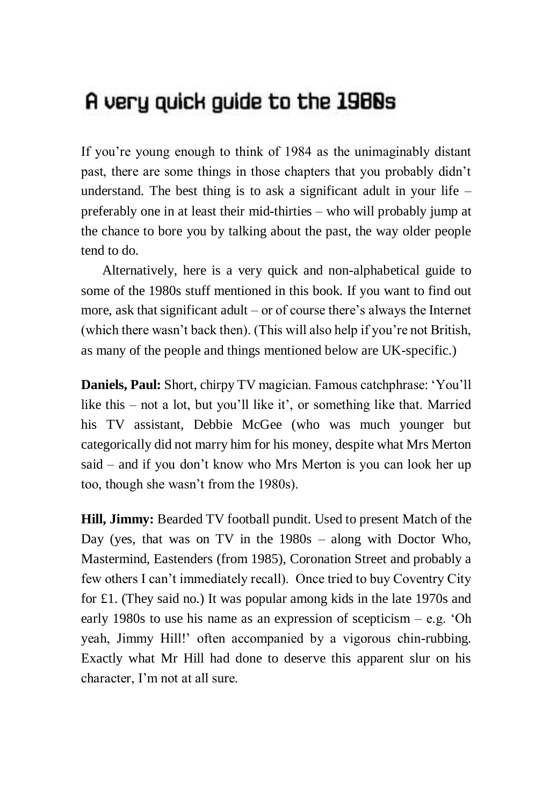## A very quick guide to the 1980s

If you're young enough to think of 1984 as the unimaginably distant past, there are some things in those chapters that you probably didn't understand. The best thing is to ask a significant adult in your life  $$ preferably one in at least their mid-thirties – who will probably jump at the chance to bore you by talking about the past, the way older people tend to do.

Alternatively, here is a very quick and non-alphabetical guide to some of the 1980s stuff mentioned in this book. If you want to find out more, ask that significant adult – or of course there's always the Internet (which there wasn't back then). (This will also help if you're not British, as many of the people and things mentioned below are UK-specific.)

**Daniels, Paul:** Short, chirpy TV magician. Famous catchphrase: 'You'll like this – not a lot, but you'll like it', or something like that. Married his TV assistant, Debbie McGee (who was much younger but categorically did not marry him for his money, despite what Mrs Merton said – and if you don't know who Mrs Merton is you can look her up too, though she wasn't from the 1980s).

**Hill, Jimmy:** Bearded TV football pundit. Used to present Match of the Day (yes, that was on TV in the 1980s – along with Doctor Who, Mastermind, Eastenders (from 1985), Coronation Street and probably a few others I can't immediately recall). Once tried to buy Coventry City for £1. (They said no.) It was popular among kids in the late 1970s and early 1980s to use his name as an expression of scepticism – e.g. 'Oh yeah, Jimmy Hill!' often accompanied by a vigorous chin-rubbing. Exactly what Mr Hill had done to deserve this apparent slur on his character, I'm not at all sure.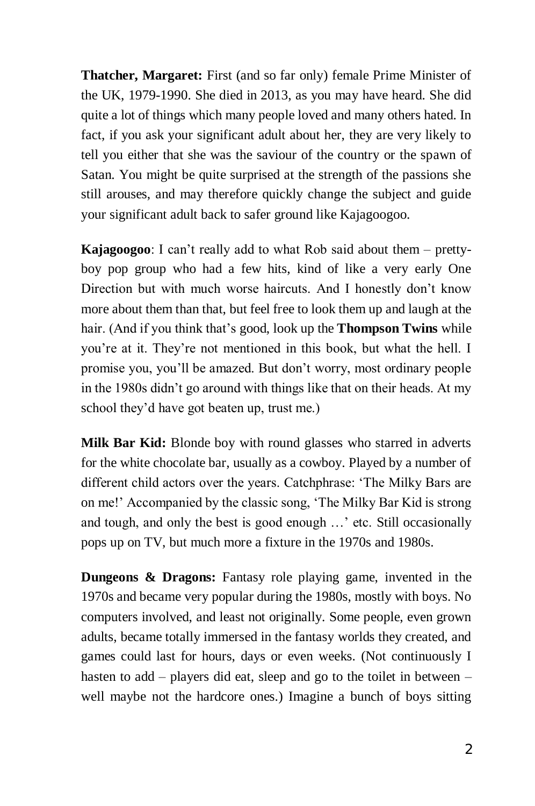**Thatcher, Margaret:** First (and so far only) female Prime Minister of the UK, 1979-1990. She died in 2013, as you may have heard. She did quite a lot of things which many people loved and many others hated. In fact, if you ask your significant adult about her, they are very likely to tell you either that she was the saviour of the country or the spawn of Satan. You might be quite surprised at the strength of the passions she still arouses, and may therefore quickly change the subject and guide your significant adult back to safer ground like Kajagoogoo.

**Kajagoogoo**: I can't really add to what Rob said about them – prettyboy pop group who had a few hits, kind of like a very early One Direction but with much worse haircuts. And I honestly don't know more about them than that, but feel free to look them up and laugh at the hair. (And if you think that's good, look up the **Thompson Twins** while you're at it. They're not mentioned in this book, but what the hell. I promise you, you'll be amazed. But don't worry, most ordinary people in the 1980s didn't go around with things like that on their heads. At my school they'd have got beaten up, trust me.)

**Milk Bar Kid:** Blonde boy with round glasses who starred in adverts for the white chocolate bar, usually as a cowboy. Played by a number of different child actors over the years. Catchphrase: 'The Milky Bars are on me!' Accompanied by the classic song, 'The Milky Bar Kid is strong and tough, and only the best is good enough …' etc. Still occasionally pops up on TV, but much more a fixture in the 1970s and 1980s.

**Dungeons & Dragons:** Fantasy role playing game, invented in the 1970s and became very popular during the 1980s, mostly with boys. No computers involved, and least not originally. Some people, even grown adults, became totally immersed in the fantasy worlds they created, and games could last for hours, days or even weeks. (Not continuously I hasten to add – players did eat, sleep and go to the toilet in between – well maybe not the hardcore ones.) Imagine a bunch of boys sitting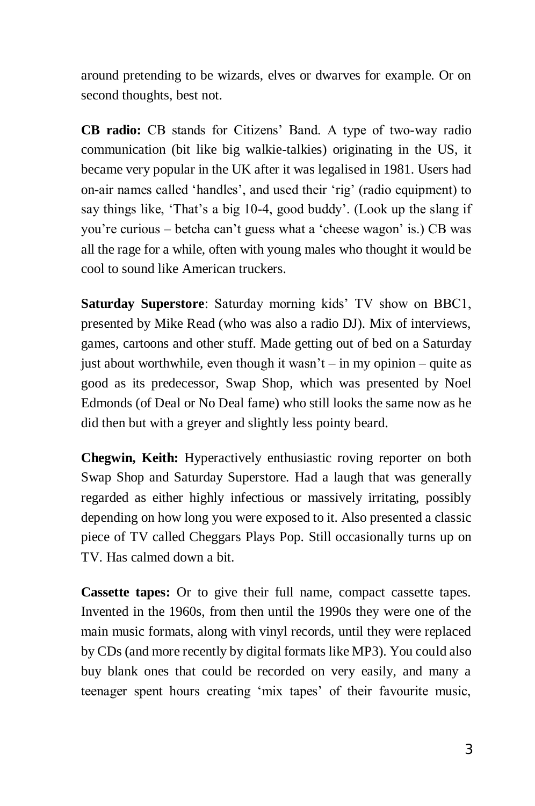around pretending to be wizards, elves or dwarves for example. Or on second thoughts, best not.

**CB radio:** CB stands for Citizens' Band. A type of two-way radio communication (bit like big walkie-talkies) originating in the US, it became very popular in the UK after it was legalised in 1981. Users had on-air names called 'handles', and used their 'rig' (radio equipment) to say things like, 'That's a big 10-4, good buddy'. (Look up the slang if you're curious – betcha can't guess what a 'cheese wagon' is.) CB was all the rage for a while, often with young males who thought it would be cool to sound like American truckers.

**Saturday Superstore**: Saturday morning kids' TV show on BBC1, presented by Mike Read (who was also a radio DJ). Mix of interviews, games, cartoons and other stuff. Made getting out of bed on a Saturday just about worthwhile, even though it wasn't – in my opinion – quite as good as its predecessor, Swap Shop, which was presented by Noel Edmonds (of Deal or No Deal fame) who still looks the same now as he did then but with a greyer and slightly less pointy beard.

**Chegwin, Keith:** Hyperactively enthusiastic roving reporter on both Swap Shop and Saturday Superstore. Had a laugh that was generally regarded as either highly infectious or massively irritating, possibly depending on how long you were exposed to it. Also presented a classic piece of TV called Cheggars Plays Pop. Still occasionally turns up on TV. Has calmed down a bit.

**Cassette tapes:** Or to give their full name, compact cassette tapes. Invented in the 1960s, from then until the 1990s they were one of the main music formats, along with vinyl records, until they were replaced by CDs (and more recently by digital formats like MP3). You could also buy blank ones that could be recorded on very easily, and many a teenager spent hours creating 'mix tapes' of their favourite music,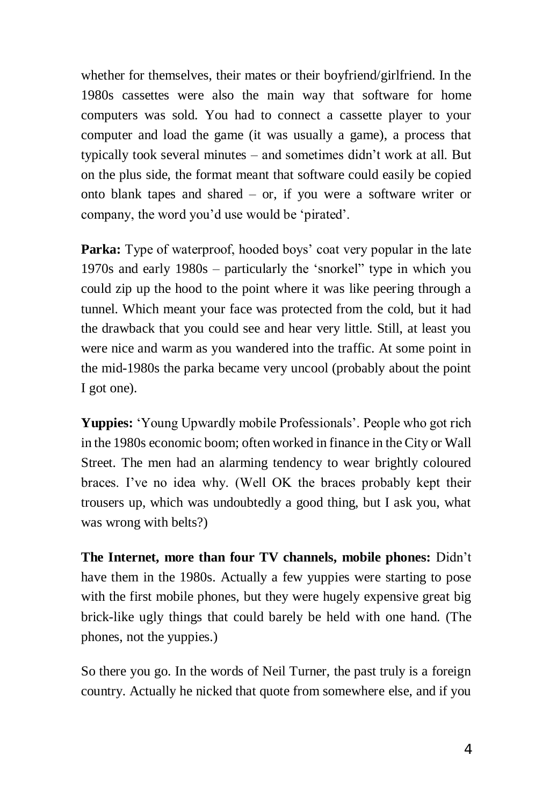whether for themselves, their mates or their boyfriend/girlfriend. In the 1980s cassettes were also the main way that software for home computers was sold. You had to connect a cassette player to your computer and load the game (it was usually a game), a process that typically took several minutes – and sometimes didn't work at all. But on the plus side, the format meant that software could easily be copied onto blank tapes and shared – or, if you were a software writer or company, the word you'd use would be 'pirated'.

**Parka:** Type of waterproof, hooded boys' coat very popular in the late 1970s and early 1980s – particularly the 'snorkel" type in which you could zip up the hood to the point where it was like peering through a tunnel. Which meant your face was protected from the cold, but it had the drawback that you could see and hear very little. Still, at least you were nice and warm as you wandered into the traffic. At some point in the mid-1980s the parka became very uncool (probably about the point I got one).

**Yuppies:** 'Young Upwardly mobile Professionals'. People who got rich in the 1980s economic boom; often worked in finance in the City or Wall Street. The men had an alarming tendency to wear brightly coloured braces. I've no idea why. (Well OK the braces probably kept their trousers up, which was undoubtedly a good thing, but I ask you, what was wrong with belts?)

**The Internet, more than four TV channels, mobile phones:** Didn't have them in the 1980s. Actually a few yuppies were starting to pose with the first mobile phones, but they were hugely expensive great big brick-like ugly things that could barely be held with one hand. (The phones, not the yuppies.)

So there you go. In the words of Neil Turner, the past truly is a foreign country. Actually he nicked that quote from somewhere else, and if you